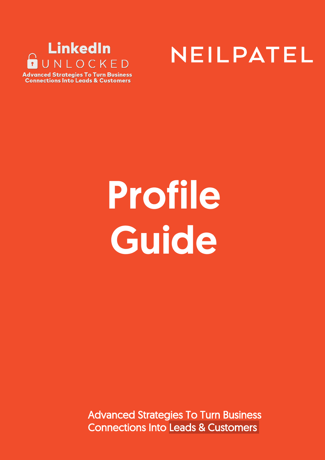



**Advanced Strategies To Turn Business Connections Into Leads & Customers** 

# Profile **Guide**

Advanced Strategies To Turn Business Connections Into Leads & Customers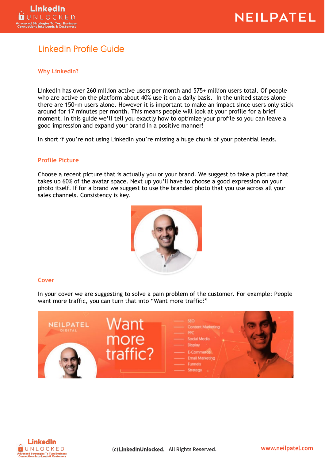

## LinkedIn Profile Guide

#### **Why LinkedIn?**

LinkedIn has over 260 million active users per month and 575+ million users total. Of people who are active on the platform about 40% use it on a daily basis. In the united states alone there are 150+m users alone. However it is important to make an impact since users only stick around for 17 minutes per month. This means people will look at your profile for a brief moment. In this guide we'll tell you exactly how to optimize your profile so you can leave a good impression and expand your brand in a positive manner!

In short if you're not using LinkedIn you're missing a huge chunk of your potential leads.

#### **Profile Picture**

Choose a recent picture that is actually you or your brand. We suggest to take a picture that takes up 60% of the avatar space. Next up you'll have to choose a good expression on your photo itself. If for a brand we suggest to use the branded photo that you use across all your sales channels. Consistency is key.



#### **Cover**

In your cover we are suggesting to solve a pain problem of the customer. For example: People want more traffic, you can turn that into "Want more traffic?"



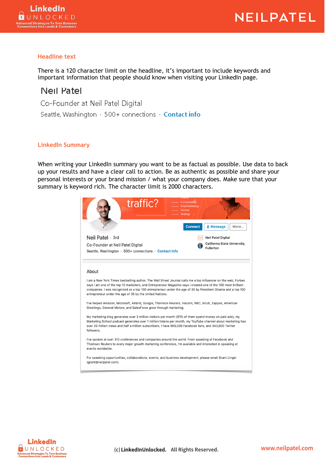#### **Headline text**

There is a 120 character limit on the headline, it's important to include keywords and important information that people should know when visiting your LinkedIn page.

### Neil Patel

Co-Founder at Neil Patel Digital Seattle, Washington · 500+ connections · Contact info

#### **LinkedIn Summary**

When writing your LinkedIn summary you want to be as factual as possible. Use data to back up your results and have a clear call to action. Be as authentic as possible and share your personal interests or your brand mission / what your company does. Make sure that your summary is keyword rich. The character limit is 2000 characters.

| traffic?<br><b>E-Commerce</b><br><b>Email Marketing</b><br><b>Funnels</b><br><b>Strategy</b><br><b>Connect</b><br><b>A</b> Message<br>More                                                                                                                                                                                                                                                                                                                                                                                                                                                                                                                                                                                                                                                                                                                                                                                                                                                                                                                                                                                                                                                                                                                                                                                   |                           |  |
|------------------------------------------------------------------------------------------------------------------------------------------------------------------------------------------------------------------------------------------------------------------------------------------------------------------------------------------------------------------------------------------------------------------------------------------------------------------------------------------------------------------------------------------------------------------------------------------------------------------------------------------------------------------------------------------------------------------------------------------------------------------------------------------------------------------------------------------------------------------------------------------------------------------------------------------------------------------------------------------------------------------------------------------------------------------------------------------------------------------------------------------------------------------------------------------------------------------------------------------------------------------------------------------------------------------------------|---------------------------|--|
| Neil Patel · 3rd                                                                                                                                                                                                                                                                                                                                                                                                                                                                                                                                                                                                                                                                                                                                                                                                                                                                                                                                                                                                                                                                                                                                                                                                                                                                                                             | <b>Neil Patel Digital</b> |  |
| California State University,<br>Co-Founder at Neil Patel Digital<br><b>Fullerton</b><br>Seattle, Washington $\cdot$ 500+ connections $\cdot$ Contact info                                                                                                                                                                                                                                                                                                                                                                                                                                                                                                                                                                                                                                                                                                                                                                                                                                                                                                                                                                                                                                                                                                                                                                    |                           |  |
| About<br>I am a New York Times bestselling author. The Wall Street Journal calls me a top influencer on the web, Forbes<br>says I am one of the top 10 marketers, and Entrepreneur Magazine says I created one of the 100 most brilliant<br>companies. I was recognized as a top 100 entrepreneur under the age of 30 by President Obama and a top 100<br>entrepreneur under the age of 35 by the United Nations.<br>I've helped Amazon, Microsoft, Airbnb, Google, Thomson Reuters, Viacom, NBC, Intuit, Zappos, American<br>Greetings, General Motors, and SalesForce grow through marketing.<br>My marketing blog generates over 3 million visitors per month (51% of them spend money on paid ads), my<br>Marketing School podcast generates over 1 million listens per month, my YouTube channel about marketing has<br>over 20 million views and half a million subscribers, I have 960,000 Facebook fans, and 343,000 Twitter<br>followers.<br>I've spoken at over 310 conferences and companies around the world. From speaking at Facebook and<br>Thomson Reuters to every major growth marketing conference, I'm available and interested in speaking at<br>events worldwide.<br>For speaking opportunities, collaborations, events, and business development, please email Grant Lingel<br>(grant@neilpatel.com). |                           |  |

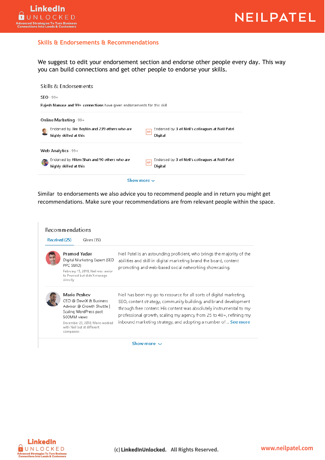

#### **Skills & Endorsements & Recommendations**

We suggest to edit your endorsement section and endorse other people every day. This way you can build connections and get other people to endorse your skills.



Similar to endorsements we also advice you to recommend people and in return you might get recommendations. Make sure your recommendations are from relevant people within the space.

| Received (25) | <b>Recommendations</b><br>Given (15)                                                                                                                                                         |                                                                                                                                                                                                                                                                                                                                                           |
|---------------|----------------------------------------------------------------------------------------------------------------------------------------------------------------------------------------------|-----------------------------------------------------------------------------------------------------------------------------------------------------------------------------------------------------------------------------------------------------------------------------------------------------------------------------------------------------------|
|               | Pramod Yadav<br>Digital Marketing Expert (SEO<br>PPC SMO)<br>February 15, 2019, Neil was senior<br>to Pramod but didn't manage<br>directly                                                   | Neil Patel is an astounding proficient, who brings the majority of the<br>abilities and skill in digital marketing brand the board, content<br>promoting and web-based social networking showcasing.                                                                                                                                                      |
|               | Mario Peshev<br>CEO @ DevriX & Business<br>Advisor @ Growth Shuttle  <br>Scaling WordPress past<br>500MM views<br>December 23, 2018, Mario worked<br>with Neil but at different<br>companies | Neil has been my go-to resource for all sorts of digital marketing,<br>SEO, content strategy, community building, and brand development<br>through free content. His content was absolutely instrumental to my<br>professional growth, scaling my agency from 25 to $40+$ , refining my<br>inbound marketing strategy, and adopting a number of  See more |